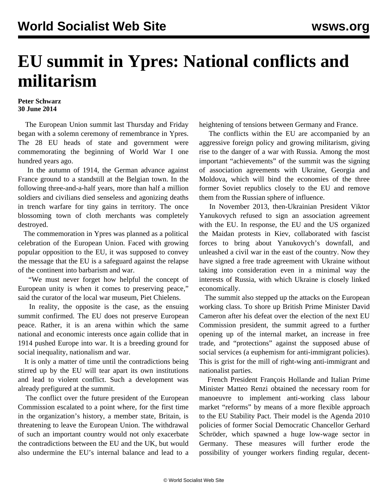## **EU summit in Ypres: National conflicts and militarism**

## **Peter Schwarz 30 June 2014**

 The European Union summit last Thursday and Friday began with a solemn ceremony of remembrance in Ypres. The 28 EU heads of state and government were commemorating the beginning of World War I one hundred years ago.

 In the autumn of 1914, the German advance against France ground to a standstill at the Belgian town. In the following three-and-a-half years, more than half a million soldiers and civilians died senseless and agonizing deaths in trench warfare for tiny gains in territory. The once blossoming town of cloth merchants was completely destroyed.

 The commemoration in Ypres was planned as a political celebration of the European Union. Faced with growing popular opposition to the EU, it was supposed to convey the message that the EU is a safeguard against the relapse of the continent into barbarism and war.

 "We must never forget how helpful the concept of European unity is when it comes to preserving peace," said the curator of the local war museum, Piet Chielens.

 In reality, the opposite is the case, as the ensuing summit confirmed. The EU does not preserve European peace. Rather, it is an arena within which the same national and economic interests once again collide that in 1914 pushed Europe into war. It is a breeding ground for social inequality, nationalism and war.

 It is only a matter of time until the contradictions being stirred up by the EU will tear apart its own institutions and lead to violent conflict. Such a development was already prefigured at the summit.

 The [conflict over the future president of the European](/en/articles/2014/06/26/euro-j26.html) [Commission](/en/articles/2014/06/26/euro-j26.html) escalated to a point where, for the first time in the organization's history, a member state, Britain, is threatening to leave the European Union. The withdrawal of such an important country would not only exacerbate the contradictions between the EU and the UK, but would also undermine the EU's internal balance and lead to a heightening of tensions between Germany and France.

 The conflicts within the EU are accompanied by an aggressive foreign policy and growing militarism, giving rise to the danger of a war with Russia. Among the most important "achievements" of the summit was the signing of association agreements with Ukraine, Georgia and Moldova, which will bind the economies of the three former Soviet republics closely to the EU and remove them from the Russian sphere of influence.

 In November 2013, then-Ukrainian President Viktor Yanukovych refused to sign an association agreement with the EU. In response, the EU and the US organized the Maidan protests in Kiev, collaborated with fascist forces to bring about Yanukovych's downfall, and unleashed a civil war in the east of the country. Now they have signed a free trade agreement with Ukraine without taking into consideration even in a minimal way the interests of Russia, with which Ukraine is closely linked economically.

 The summit also stepped up the attacks on the European working class. To shore up British Prime Minister David Cameron after his defeat over the election of the next EU Commission president, the summit agreed to a further opening up of the internal market, an increase in free trade, and "protections" against the supposed abuse of social services (a euphemism for anti-immigrant policies). This is grist for the mill of right-wing anti-immigrant and nationalist parties.

 French President François Hollande and Italian Prime Minister Matteo Renzi obtained the necessary room for manoeuvre to implement anti-working class labour market "reforms" by means of a more flexible approach to the EU Stability Pact. Their model is the Agenda 2010 policies of former Social Democratic Chancellor Gerhard Schröder, which spawned a huge low-wage sector in Germany. These measures will further erode the possibility of younger workers finding regular, decent